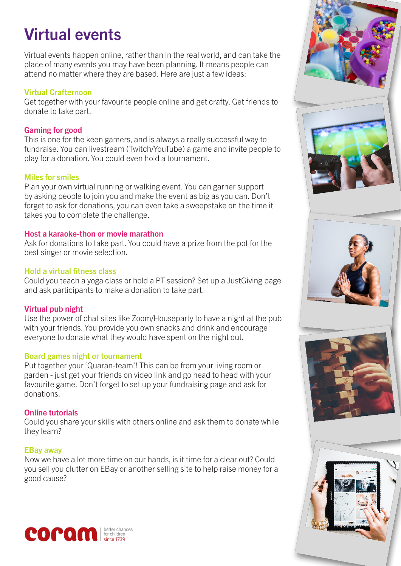# Virtual events

Virtual events happen online, rather than in the real world, and can take the place of many events you may have been planning. It means people can attend no matter where they are based. Here are just a few ideas:

#### Virtual Crafternoon

Get together with your favourite people online and get crafty. Get friends to donate to take part.

### Gaming for good

This is one for the keen gamers, and is always a really successful way to fundraise. You can livestream (Twitch/YouTube) a game and invite people to play for a donation. You could even hold a tournament.

#### Miles for smiles

Plan your own virtual running or walking event. You can garner support by asking people to join you and make the event as big as you can. Don't forget to ask for donations, you can even take a sweepstake on the time it takes you to complete the challenge.

#### Host a karaoke-thon or movie marathon

Ask for donations to take part. You could have a prize from the pot for the best singer or movie selection.

#### Hold a virtual fitness class

Could you teach a yoga class or hold a PT session? Set up a JustGiving page and ask participants to make a donation to take part.

## Virtual pub night

Use the power of chat sites like Zoom/Houseparty to have a night at the pub with your friends. You provide you own snacks and drink and encourage everyone to donate what they would have spent on the night out.

## Board games night or tournament

Put together your 'Quaran-team'! This can be from your living room or garden - just get your friends on video link and go head to head with your favourite game. Don't forget to set up your fundraising page and ask for donations.

## Online tutorials

Could you share your skills with others online and ask them to donate while they learn?

## EBay away

Now we have a lot more time on our hands, is it time for a clear out? Could you sell you clutter on EBay or another selling site to help raise money for a good cause?